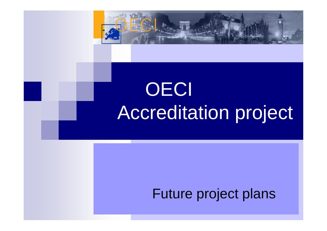

# **OECI** Accreditation project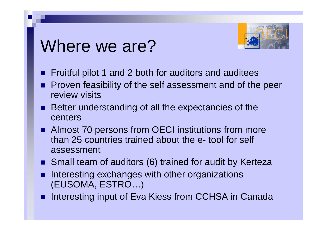#### Where we are?



- $\mathbb{R}^2$ Fruitful pilot 1 and 2 both for auditors and auditees
- $\mathbb{R}^2$  Proven feasibility of the self assessment and of the peer review visits
- Better understanding of all the expectancies of the centers
- Almost 70 persons from OECI institutions from more than 25 countries trained about the e- tool for self assessment
- Small team of auditors (6) trained for audit by Kerteza
- $\mathbb{R}^2$  Interesting exchanges with other organizations (EUSOMA, ESTRO…)
- $\mathbb{R}^2$ Interesting input of Eva Kiess from CCHSA in Canada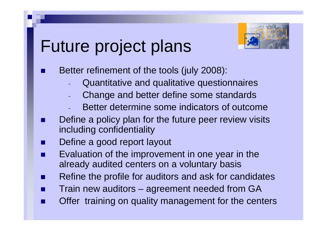

- $\mathbb{R}^2$  Better refinement of the tools (july 2008):
	- -Quantitative and qualitative questionnaires
	- -Change and better define some standards
	- -Better determine some indicators of outcome
- $\mathbb{R}^2$  Define a policy plan for the future peer review visits including confidentiality
- $\mathbb{R}^2$ Define a good report layout
- $\mathbb{R}^2$  Evaluation of the improvement in one year in the already audited centers on a voluntary basis
- $\mathbb{R}^2$ Refine the profile for auditors and ask for candidates
- $\mathbb{R}^2$ Train new auditors – agreement needed from GA
- $\mathbb{R}^2$ Offer training on quality management for the centers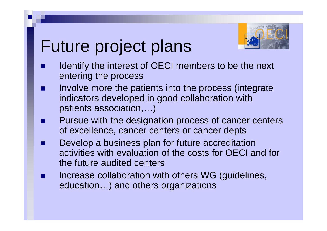

- $\mathbb{R}^2$  Identify the interest of OECI members to be the next entering the process
- $\mathbb{R}^2$  Involve more the patients into the process (integrate indicators developed in good collaboration with patients association,…)
- $\mathbb{R}^2$  Pursue with the designation process of cancer centers of excellence, cancer centers or cancer depts
- $\mathbb{R}^2$  Develop a business plan for future accreditation activities with evaluation of the costs for OECI and for the future audited centers
- $\mathbb{R}^2$  Increase collaboration with others WG (guidelines, education…) and others organizations